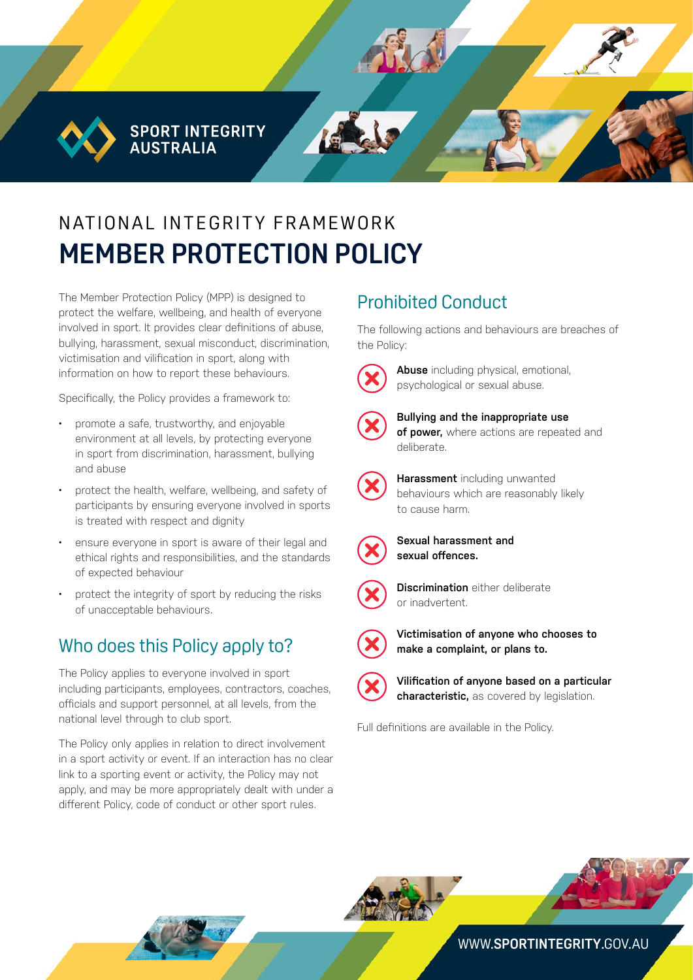**SPORT INTEGRITY AUSTRALIA** 

# N AT IONAL INTEGRITY FRAMEWORK **MEMBER PROTECTION POLICY**

The Member Protection Policy (MPP) is designed to protect the welfare, wellbeing, and health of everyone involved in sport. It provides clear definitions of abuse, bullying, harassment, sexual misconduct, discrimination, victimisation and vilification in sport, along with information on how to report these behaviours.

Specifically, the Policy provides a framework to:

- promote a safe, trustworthy, and enjoyable environment at all levels, by protecting everyone in sport from discrimination, harassment, bullying and abuse
- protect the health, welfare, wellbeing, and safety of participants by ensuring everyone involved in sports is treated with respect and dignity
- ensure everyone in sport is aware of their legal and ethical rights and responsibilities, and the standards of expected behaviour
- protect the integrity of sport by reducing the risks of unacceptable behaviours.

#### Who does this Policy apply to?

The Policy applies to everyone involved in sport including participants, employees, contractors, coaches, officials and support personnel, at all levels, from the national level through to club sport.

The Policy only applies in relation to direct involvement in a sport activity or event. If an interaction has no clear link to a sporting event or activity, the Policy may not apply, and may be more appropriately dealt with under a different Policy, code of conduct or other sport rules.

## Prohibited Conduct

The following actions and behaviours are breaches of the Policy:



**Abuse** including physical, emotional, psychological or sexual abuse.



**Bullying and the inappropriate use of power,** where actions are repeated and deliberate.



**Harassment** including unwanted behaviours which are reasonably likely to cause harm.



**Sexual harassment and sexual offences.** 



**Discrimination** either deliberate or inadvertent.



**Victimisation of anyone who chooses to make a complaint, or plans to.**



**Vilification of anyone based on a particular characteristic,** as covered by legislation.

Full definitions are available in the Policy.